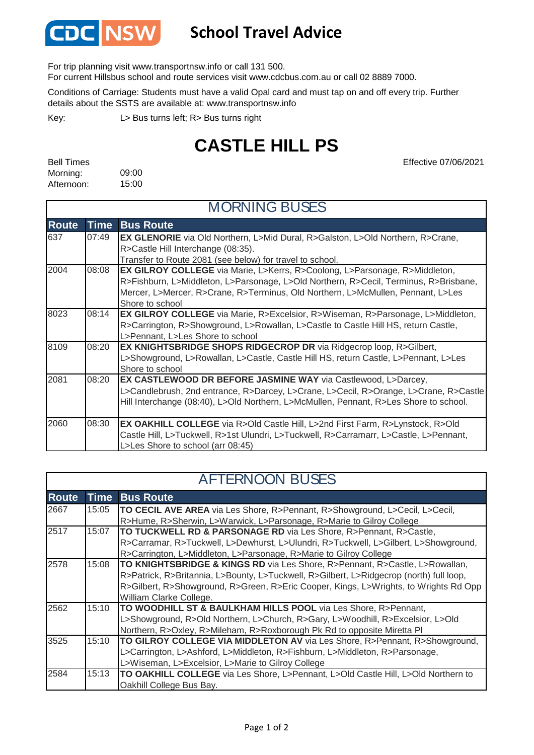

## **School Travel Advice**

For trip planning visit www.transportnsw.info or call 131 500.

For current Hillsbus school and route services visit www.cdcbus.com.au or call 02 8889 7000.

Conditions of Carriage: Students must have a valid Opal card and must tap on and off every trip. Further details about the SSTS are available at: www.transportnsw.info

L> Bus turns left; R> Bus turns right Key:

## **CASTLE HILL PS**

Effective 07/06/2021

| <b>Bell Times</b> |       |
|-------------------|-------|
| Morning:          | 09:00 |
| Afternoon:        | 15:00 |

| <b>MORNING BUSES</b> |             |                                                                                       |  |
|----------------------|-------------|---------------------------------------------------------------------------------------|--|
| <b>Route</b>         | <b>Time</b> | <b>Bus Route</b>                                                                      |  |
| 637                  | 07:49       | <b>EX GLENORIE</b> via Old Northern, L>Mid Dural, R>Galston, L>Old Northern, R>Crane, |  |
|                      |             | R>Castle Hill Interchange (08:35).                                                    |  |
|                      |             | Transfer to Route 2081 (see below) for travel to school.                              |  |
| 2004                 | 08:08       | <b>EX GILROY COLLEGE</b> via Marie, L>Kerrs, R>Coolong, L>Parsonage, R>Middleton,     |  |
|                      |             | R>Fishburn, L>Middleton, L>Parsonage, L>Old Northern, R>Cecil, Terminus, R>Brisbane,  |  |
|                      |             | Mercer, L>Mercer, R>Crane, R>Terminus, Old Northern, L>McMullen, Pennant, L>Les       |  |
|                      |             | Shore to school                                                                       |  |
| 8023                 | 08:14       | <b>EX GILROY COLLEGE</b> via Marie, R>Excelsior, R>Wiseman, R>Parsonage, L>Middleton, |  |
|                      |             | R>Carrington, R>Showground, L>Rowallan, L>Castle to Castle Hill HS, return Castle,    |  |
|                      |             | L>Pennant, L>Les Shore to school                                                      |  |
| 8109                 | 08:20       | <b>EX KNIGHTSBRIDGE SHOPS RIDGECROP DR via Ridgecrop loop, R&gt;Gilbert,</b>          |  |
|                      |             | L>Showground, L>Rowallan, L>Castle, Castle Hill HS, return Castle, L>Pennant, L>Les   |  |
|                      |             | Shore to school                                                                       |  |
| 2081                 | 08:20       | <b>EX CASTLEWOOD DR BEFORE JASMINE WAY via Castlewood, L&gt;Darcey,</b>               |  |
|                      |             | L>Candlebrush, 2nd entrance, R>Darcey, L>Crane, L>Cecil, R>Orange, L>Crane, R>Castle  |  |
|                      |             | Hill Interchange (08:40), L>Old Northern, L>McMullen, Pennant, R>Les Shore to school. |  |
|                      |             |                                                                                       |  |
| 2060                 | 08:30       | <b>EX OAKHILL COLLEGE</b> via R>Old Castle Hill, L>2nd First Farm, R>Lynstock, R>Old  |  |
|                      |             | Castle Hill, L>Tuckwell, R>1st Ulundri, L>Tuckwell, R>Carramarr, L>Castle, L>Pennant, |  |
|                      |             | L>Les Shore to school (arr 08:45)                                                     |  |

| <b>AFTERNOON BUSES</b> |             |                                                                                         |  |  |
|------------------------|-------------|-----------------------------------------------------------------------------------------|--|--|
| <b>Route</b>           | <b>Time</b> | <b>Bus Route</b>                                                                        |  |  |
| 2667                   | 15:05       | TO CECIL AVE AREA via Les Shore, R>Pennant, R>Showground, L>Cecil, L>Cecil,             |  |  |
|                        |             | R>Hume, R>Sherwin, L>Warwick, L>Parsonage, R>Marie to Gilroy College                    |  |  |
| 2517                   | 15:07       | TO TUCKWELL RD & PARSONAGE RD via Les Shore, R>Pennant, R>Castle,                       |  |  |
|                        |             | R>Carramar, R>Tuckwell, L>Dewhurst, L>Ulundri, R>Tuckwell, L>Gilbert, L>Showground,     |  |  |
|                        |             | R>Carrington, L>Middleton, L>Parsonage, R>Marie to Gilroy College                       |  |  |
| 2578                   | 15:08       | TO KNIGHTSBRIDGE & KINGS RD via Les Shore, R>Pennant, R>Castle, L>Rowallan,             |  |  |
|                        |             | R>Patrick, R>Britannia, L>Bounty, L>Tuckwell, R>Gilbert, L>Ridgecrop (north) full loop, |  |  |
|                        |             | R>Gilbert, R>Showground, R>Green, R>Eric Cooper, Kings, L>Wrights, to Wrights Rd Opp    |  |  |
|                        |             | William Clarke College.                                                                 |  |  |
| 2562                   | 15:10       | TO WOODHILL ST & BAULKHAM HILLS POOL via Les Shore, R>Pennant,                          |  |  |
|                        |             | L>Showground, R>Old Northern, L>Church, R>Gary, L>Woodhill, R>Excelsior, L>Old          |  |  |
|                        |             | Northern, R>Oxley, R>Mileham, R>Roxborough Pk Rd to opposite Miretta Pl                 |  |  |
| 3525                   | 15:10       | TO GILROY COLLEGE VIA MIDDLETON AV via Les Shore, R>Pennant, R>Showground,              |  |  |
|                        |             | L>Carrington, L>Ashford, L>Middleton, R>Fishburn, L>Middleton, R>Parsonage,             |  |  |
|                        |             | L>Wiseman, L>Excelsior, L>Marie to Gilroy College                                       |  |  |
| 2584                   | 15:13       | TO OAKHILL COLLEGE via Les Shore, L>Pennant, L>Old Castle Hill, L>Old Northern to       |  |  |
|                        |             | Oakhill College Bus Bay.                                                                |  |  |